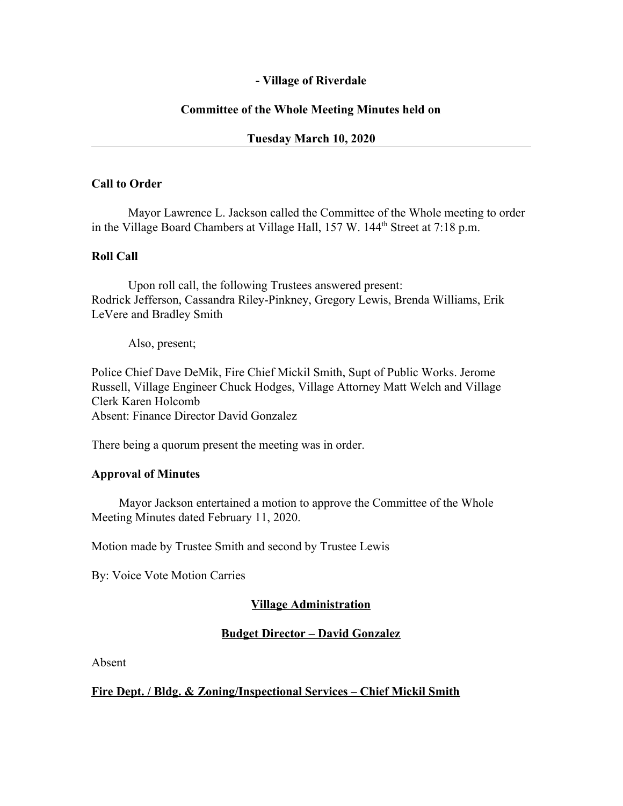## **- Village of Riverdale**

## **Committee of the Whole Meeting Minutes held on**

### **Tuesday March 10, 2020**

#### **Call to Order**

Mayor Lawrence L. Jackson called the Committee of the Whole meeting to order in the Village Board Chambers at Village Hall, 157 W. 144<sup>th</sup> Street at 7:18 p.m.

#### **Roll Call**

Upon roll call, the following Trustees answered present: Rodrick Jefferson, Cassandra Riley-Pinkney, Gregory Lewis, Brenda Williams, Erik LeVere and Bradley Smith

Also, present;

Police Chief Dave DeMik, Fire Chief Mickil Smith, Supt of Public Works. Jerome Russell, Village Engineer Chuck Hodges, Village Attorney Matt Welch and Village Clerk Karen Holcomb Absent: Finance Director David Gonzalez

There being a quorum present the meeting was in order.

#### **Approval of Minutes**

Mayor Jackson entertained a motion to approve the Committee of the Whole Meeting Minutes dated February 11, 2020.

Motion made by Trustee Smith and second by Trustee Lewis

By: Voice Vote Motion Carries

#### **Village Administration**

#### **Budget Director – David Gonzalez**

Absent

#### **Fire Dept. / Bldg. & Zoning/Inspectional Services – Chief Mickil Smith**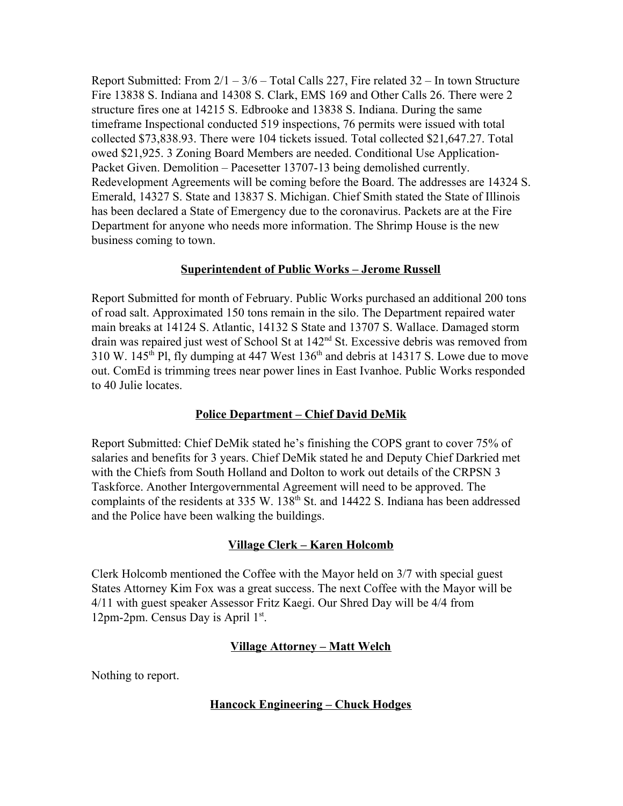Report Submitted: From  $2/1 - 3/6 -$  Total Calls 227, Fire related 32 – In town Structure Fire 13838 S. Indiana and 14308 S. Clark, EMS 169 and Other Calls 26. There were 2 structure fires one at 14215 S. Edbrooke and 13838 S. Indiana. During the same timeframe Inspectional conducted 519 inspections, 76 permits were issued with total collected \$73,838.93. There were 104 tickets issued. Total collected \$21,647.27. Total owed \$21,925. 3 Zoning Board Members are needed. Conditional Use Application-Packet Given. Demolition – Pacesetter 13707-13 being demolished currently. Redevelopment Agreements will be coming before the Board. The addresses are 14324 S. Emerald, 14327 S. State and 13837 S. Michigan. Chief Smith stated the State of Illinois has been declared a State of Emergency due to the coronavirus. Packets are at the Fire Department for anyone who needs more information. The Shrimp House is the new business coming to town.

### **Superintendent of Public Works – Jerome Russell**

Report Submitted for month of February. Public Works purchased an additional 200 tons of road salt. Approximated 150 tons remain in the silo. The Department repaired water main breaks at 14124 S. Atlantic, 14132 S State and 13707 S. Wallace. Damaged storm drain was repaired just west of School St at 142<sup>nd</sup> St. Excessive debris was removed from 310 W. 145<sup>th</sup> Pl, fly dumping at 447 West  $136<sup>th</sup>$  and debris at 14317 S. Lowe due to move out. ComEd is trimming trees near power lines in East Ivanhoe. Public Works responded to 40 Julie locates.

# **Police Department – Chief David DeMik**

Report Submitted: Chief DeMik stated he's finishing the COPS grant to cover 75% of salaries and benefits for 3 years. Chief DeMik stated he and Deputy Chief Darkried met with the Chiefs from South Holland and Dolton to work out details of the CRPSN 3 Taskforce. Another Intergovernmental Agreement will need to be approved. The complaints of the residents at 335 W. 138<sup>th</sup> St. and 14422 S. Indiana has been addressed and the Police have been walking the buildings.

# **Village Clerk – Karen Holcomb**

Clerk Holcomb mentioned the Coffee with the Mayor held on 3/7 with special guest States Attorney Kim Fox was a great success. The next Coffee with the Mayor will be 4/11 with guest speaker Assessor Fritz Kaegi. Our Shred Day will be 4/4 from 12pm-2pm. Census Day is April 1st.

# **Village Attorney – Matt Welch**

Nothing to report.

# **Hancock Engineering – Chuck Hodges**